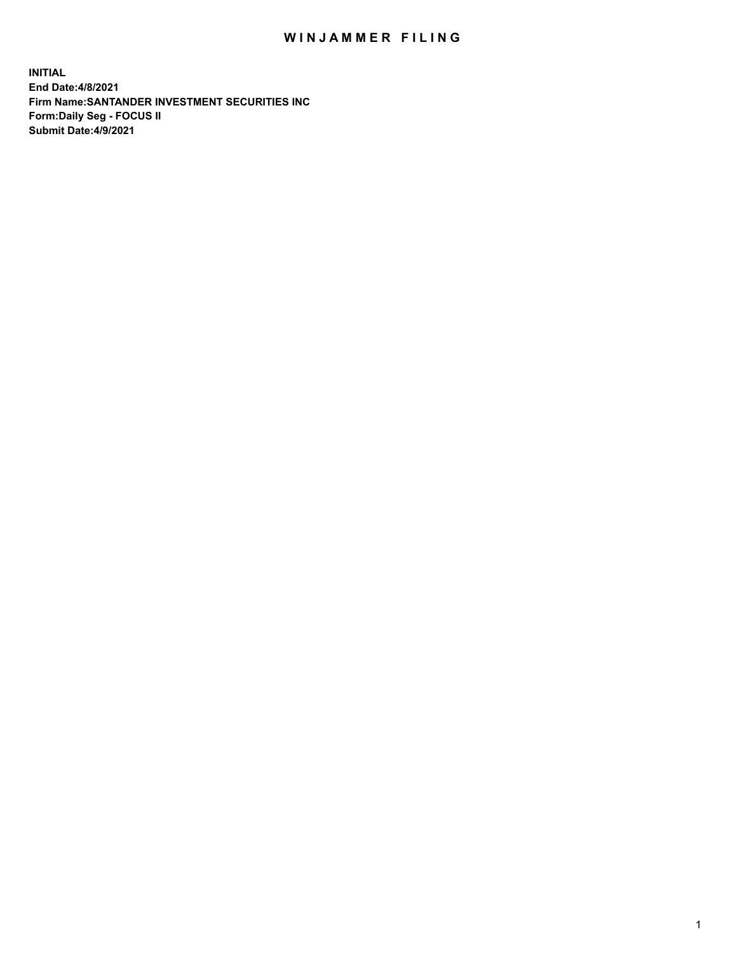## WIN JAMMER FILING

**INITIAL End Date:4/8/2021 Firm Name:SANTANDER INVESTMENT SECURITIES INC Form:Daily Seg - FOCUS II Submit Date:4/9/2021**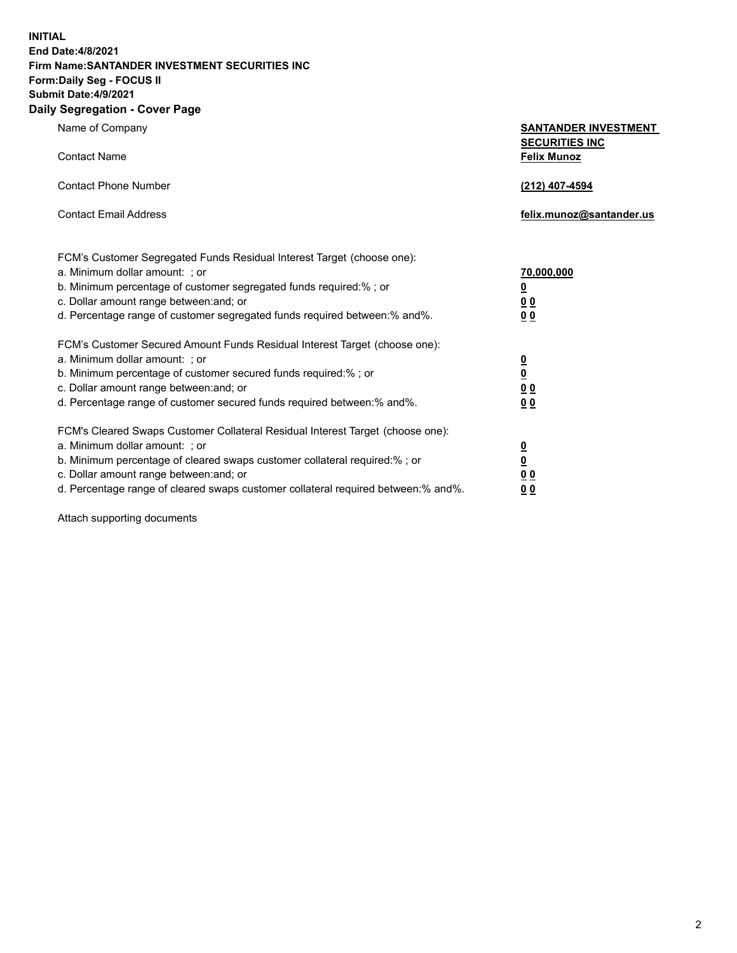**INITIAL End Date:4/8/2021 Firm Name:SANTANDER INVESTMENT SECURITIES INC Form:Daily Seg - FOCUS II Submit Date:4/9/2021 Daily Segregation - Cover Page**

Name of Company **SANTANDER INVESTMENT SECURITIES INC** Contact Name **Felix Munoz** Contact Phone Number **(212) 407-4594** Contact Email Address **felix.munoz@santander.us** FCM's Customer Segregated Funds Residual Interest Target (choose one): a. Minimum dollar amount: ; or **70,000,000** b. Minimum percentage of customer segregated funds required:% ; or **0** c. Dollar amount range between:and; or **0 0** d. Percentage range of customer segregated funds required between:% and%. **0 0** FCM's Customer Secured Amount Funds Residual Interest Target (choose one): a. Minimum dollar amount: ; or **0** b. Minimum percentage of customer secured funds required:% ; or **0** c. Dollar amount range between:and; or **0 0** d. Percentage range of customer secured funds required between:% and%. **0 0** FCM's Cleared Swaps Customer Collateral Residual Interest Target (choose one): a. Minimum dollar amount: ; or **0** b. Minimum percentage of cleared swaps customer collateral required:% ; or **0**

c. Dollar amount range between:and; or **0 0** d. Percentage range of cleared swaps customer collateral required between:% and%. **0 0**

Attach supporting documents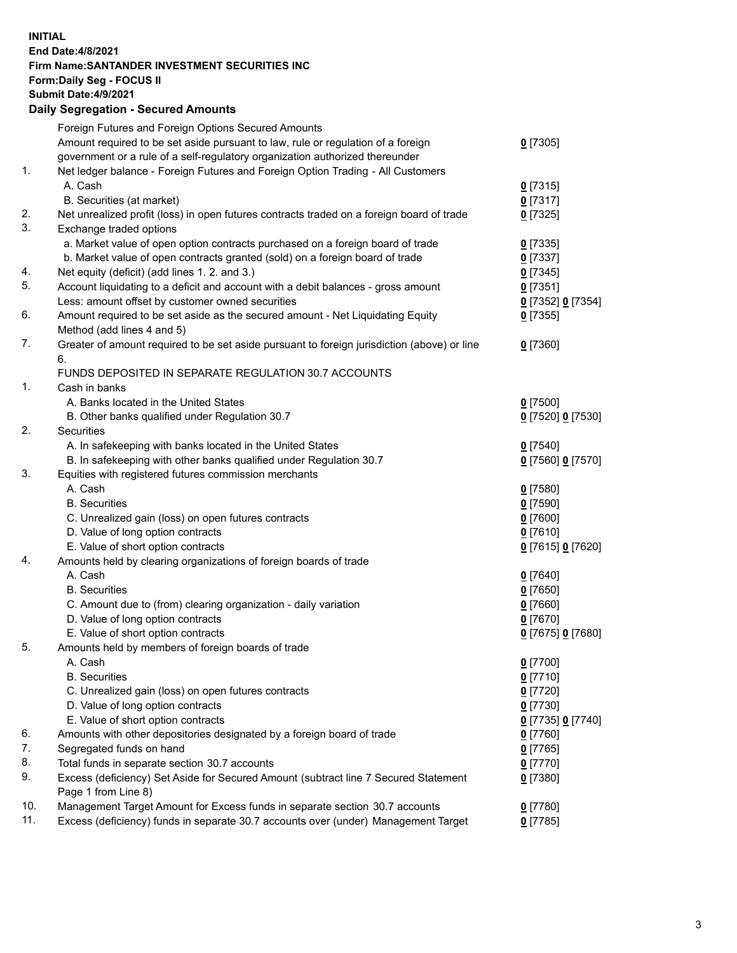## **INITIAL End Date:4/8/2021 Firm Name:SANTANDER INVESTMENT SECURITIES INC Form:Daily Seg - FOCUS II Submit Date:4/9/2021 Daily Segregation - Secured Amounts** Foreign Futures and Foreign Options Secured Amounts

|     | r orașii r atăres anu r orașii Options Occareu Amounts                                      |                   |
|-----|---------------------------------------------------------------------------------------------|-------------------|
|     | Amount required to be set aside pursuant to law, rule or regulation of a foreign            | $0$ [7305]        |
|     | government or a rule of a self-regulatory organization authorized thereunder                |                   |
| 1.  | Net ledger balance - Foreign Futures and Foreign Option Trading - All Customers             |                   |
|     | A. Cash                                                                                     | $0$ [7315]        |
|     | B. Securities (at market)                                                                   | $0$ [7317]        |
| 2.  | Net unrealized profit (loss) in open futures contracts traded on a foreign board of trade   | $0$ [7325]        |
| 3.  | Exchange traded options                                                                     |                   |
|     | a. Market value of open option contracts purchased on a foreign board of trade              | $0$ [7335]        |
|     | b. Market value of open contracts granted (sold) on a foreign board of trade                | $0$ [7337]        |
| 4.  | Net equity (deficit) (add lines 1. 2. and 3.)                                               | $0$ [7345]        |
| 5.  | Account liquidating to a deficit and account with a debit balances - gross amount           | $0$ [7351]        |
|     | Less: amount offset by customer owned securities                                            | 0 [7352] 0 [7354] |
| 6.  | Amount required to be set aside as the secured amount - Net Liquidating Equity              | $0$ [7355]        |
|     | Method (add lines 4 and 5)                                                                  |                   |
| 7.  | Greater of amount required to be set aside pursuant to foreign jurisdiction (above) or line | $0$ [7360]        |
|     | 6.                                                                                          |                   |
|     | FUNDS DEPOSITED IN SEPARATE REGULATION 30.7 ACCOUNTS                                        |                   |
| 1.  | Cash in banks                                                                               |                   |
|     |                                                                                             |                   |
|     | A. Banks located in the United States                                                       | $0$ [7500]        |
| 2.  | B. Other banks qualified under Regulation 30.7                                              | 0 [7520] 0 [7530] |
|     | <b>Securities</b>                                                                           |                   |
|     | A. In safekeeping with banks located in the United States                                   | $0$ [7540]        |
|     | B. In safekeeping with other banks qualified under Regulation 30.7                          | 0 [7560] 0 [7570] |
| 3.  | Equities with registered futures commission merchants                                       |                   |
|     | A. Cash                                                                                     | $0$ [7580]        |
|     | <b>B.</b> Securities                                                                        | $0$ [7590]        |
|     | C. Unrealized gain (loss) on open futures contracts                                         | $0$ [7600]        |
|     | D. Value of long option contracts                                                           | $0$ [7610]        |
|     | E. Value of short option contracts                                                          | 0 [7615] 0 [7620] |
| 4.  | Amounts held by clearing organizations of foreign boards of trade                           |                   |
|     | A. Cash                                                                                     | $0$ [7640]        |
|     | <b>B.</b> Securities                                                                        | $0$ [7650]        |
|     | C. Amount due to (from) clearing organization - daily variation                             | $0$ [7660]        |
|     | D. Value of long option contracts                                                           | $0$ [7670]        |
|     | E. Value of short option contracts                                                          | 0 [7675] 0 [7680] |
| 5.  | Amounts held by members of foreign boards of trade                                          |                   |
|     | A. Cash                                                                                     | $0$ [7700]        |
|     | <b>B.</b> Securities                                                                        | $0$ [7710]        |
|     | C. Unrealized gain (loss) on open futures contracts                                         | $0$ [7720]        |
|     | D. Value of long option contracts                                                           | $0$ [7730]        |
|     | E. Value of short option contracts                                                          | 0 [7735] 0 [7740] |
| 6.  | Amounts with other depositories designated by a foreign board of trade                      | $0$ [7760]        |
| 7.  | Segregated funds on hand                                                                    | $0$ [7765]        |
| 8.  | Total funds in separate section 30.7 accounts                                               | 0 [7770]          |
| 9.  | Excess (deficiency) Set Aside for Secured Amount (subtract line 7 Secured Statement         | $0$ [7380]        |
|     | Page 1 from Line 8)                                                                         |                   |
| 10. | Management Target Amount for Excess funds in separate section 30.7 accounts                 | $0$ [7780]        |
| 11. | Excess (deficiency) funds in separate 30.7 accounts over (under) Management Target          | $0$ [7785]        |
|     |                                                                                             |                   |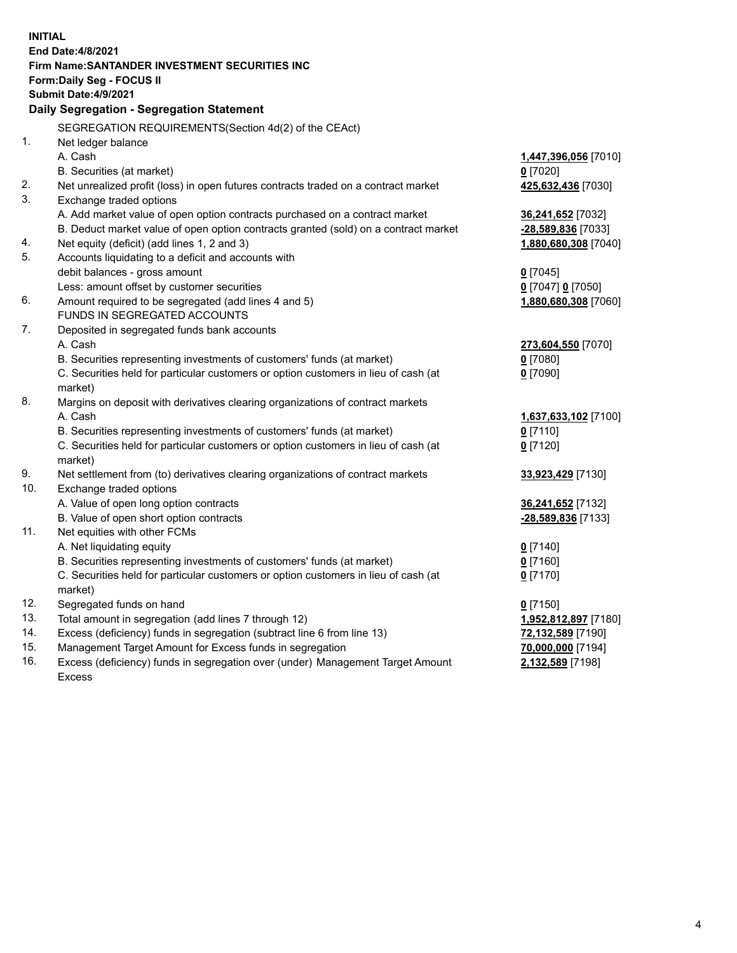|     | <b>INITIAL</b>                                                                                                                             |                                       |  |  |  |
|-----|--------------------------------------------------------------------------------------------------------------------------------------------|---------------------------------------|--|--|--|
|     | <b>End Date:4/8/2021</b>                                                                                                                   |                                       |  |  |  |
|     | Firm Name: SANTANDER INVESTMENT SECURITIES INC                                                                                             |                                       |  |  |  |
|     | <b>Form:Daily Seg - FOCUS II</b>                                                                                                           |                                       |  |  |  |
|     | Submit Date: 4/9/2021                                                                                                                      |                                       |  |  |  |
|     | Daily Segregation - Segregation Statement                                                                                                  |                                       |  |  |  |
|     | SEGREGATION REQUIREMENTS(Section 4d(2) of the CEAct)                                                                                       |                                       |  |  |  |
| 1.  | Net ledger balance                                                                                                                         |                                       |  |  |  |
|     | A. Cash                                                                                                                                    | 1,447,396,056 [7010]                  |  |  |  |
|     | B. Securities (at market)                                                                                                                  | $0$ [7020]                            |  |  |  |
| 2.  | Net unrealized profit (loss) in open futures contracts traded on a contract market                                                         | 425,632,436 [7030]                    |  |  |  |
| 3.  | Exchange traded options                                                                                                                    |                                       |  |  |  |
|     | A. Add market value of open option contracts purchased on a contract market                                                                | 36,241,652 [7032]                     |  |  |  |
|     | B. Deduct market value of open option contracts granted (sold) on a contract market                                                        | -28,589,836 [7033]                    |  |  |  |
| 4.  | Net equity (deficit) (add lines 1, 2 and 3)                                                                                                | 1,880,680,308 [7040]                  |  |  |  |
| 5.  | Accounts liquidating to a deficit and accounts with                                                                                        |                                       |  |  |  |
|     | debit balances - gross amount                                                                                                              | $0$ [7045]                            |  |  |  |
|     | Less: amount offset by customer securities                                                                                                 | 0 [7047] 0 [7050]                     |  |  |  |
| 6.  | Amount required to be segregated (add lines 4 and 5)                                                                                       | 1,880,680,308 [7060]                  |  |  |  |
|     | FUNDS IN SEGREGATED ACCOUNTS                                                                                                               |                                       |  |  |  |
| 7.  | Deposited in segregated funds bank accounts                                                                                                |                                       |  |  |  |
|     | A. Cash                                                                                                                                    | 273,604,550 [7070]                    |  |  |  |
|     | B. Securities representing investments of customers' funds (at market)                                                                     | $0$ [7080]                            |  |  |  |
|     | C. Securities held for particular customers or option customers in lieu of cash (at                                                        | $0$ [7090]                            |  |  |  |
|     | market)                                                                                                                                    |                                       |  |  |  |
| 8.  | Margins on deposit with derivatives clearing organizations of contract markets                                                             |                                       |  |  |  |
|     | A. Cash                                                                                                                                    | 1,637,633,102 [7100]                  |  |  |  |
|     | B. Securities representing investments of customers' funds (at market)                                                                     | $0$ [7110]                            |  |  |  |
|     | C. Securities held for particular customers or option customers in lieu of cash (at                                                        | $0$ [7120]                            |  |  |  |
|     | market)                                                                                                                                    |                                       |  |  |  |
| 9.  | Net settlement from (to) derivatives clearing organizations of contract markets                                                            | 33,923,429 [7130]                     |  |  |  |
| 10. | Exchange traded options                                                                                                                    |                                       |  |  |  |
|     | A. Value of open long option contracts                                                                                                     | 36,241,652 [7132]                     |  |  |  |
| 11. | B. Value of open short option contracts                                                                                                    | -28,589,836 [7133]                    |  |  |  |
|     | Net equities with other FCMs                                                                                                               |                                       |  |  |  |
|     | A. Net liquidating equity<br>B. Securities representing investments of customers' funds (at market)                                        | $0$ [7140]<br>$0$ [7160]              |  |  |  |
|     | C. Securities held for particular customers or option customers in lieu of cash (at                                                        |                                       |  |  |  |
|     | market)                                                                                                                                    | $0$ [7170]                            |  |  |  |
| 12. | Segregated funds on hand                                                                                                                   | $0$ [7150]                            |  |  |  |
| 13. | Total amount in segregation (add lines 7 through 12)                                                                                       | 1,952,812,897 [7180]                  |  |  |  |
| 14. | Excess (deficiency) funds in segregation (subtract line 6 from line 13)                                                                    | 72,132,589 [7190]                     |  |  |  |
| 15. |                                                                                                                                            |                                       |  |  |  |
|     |                                                                                                                                            |                                       |  |  |  |
| 16. | Management Target Amount for Excess funds in segregation<br>Excess (deficiency) funds in segregation over (under) Management Target Amount | 70,000,000 [7194]<br>2,132,589 [7198] |  |  |  |